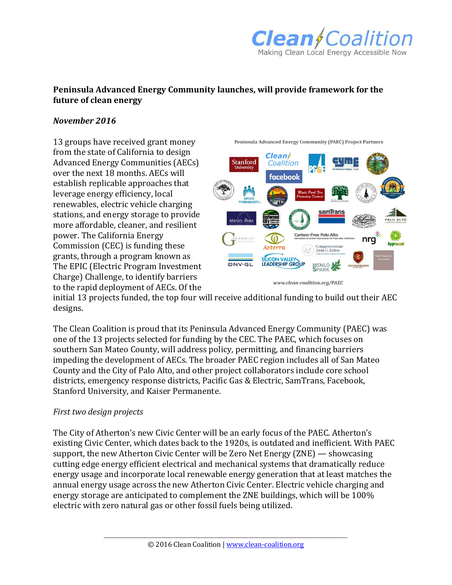

## **Peninsula Advanced Energy Community launches, will provide framework for the future of clean energy**

## *November 2016*

13 groups have received grant money from the state of California to design Advanced Energy Communities (AECs) over the next 18 months. AECs will establish replicable approaches that leverage energy efficiency, local renewables, electric vehicle charging stations, and energy storage to provide more affordable, cleaner, and resilient power. The California Energy Commission (CEC) is funding these grants, through a program known as The EPIC (Electric Program Investment Charge) Challenge, to identify barriers to the rapid deployment of AECs. Of the



Peninsula Advanced Energy Community (PAEC) Project Partners

www.clean-coalition.org/PAEC

initial 13 projects funded, the top four will receive additional funding to build out their AEC designs.

The Clean Coalition is proud that its Peninsula Advanced Energy Community (PAEC) was one of the 13 projects selected for funding by the CEC. The PAEC, which focuses on southern San Mateo County, will address policy, permitting, and financing barriers impeding the development of AECs. The broader PAEC region includes all of San Mateo County and the City of Palo Alto, and other project collaborators include core school districts, emergency response districts, Pacific Gas & Electric, SamTrans, Facebook, Stanford University, and Kaiser Permanente.

## *First two design projects*

The City of Atherton's new Civic Center will be an early focus of the PAEC. Atherton's existing Civic Center, which dates back to the 1920s, is outdated and inefficient. With PAEC support, the new Atherton Civic Center will be Zero Net Energy (ZNE) — showcasing cutting edge energy efficient electrical and mechanical systems that dramatically reduce energy usage and incorporate local renewable energy generation that at least matches the annual energy usage across the new Atherton Civic Center. Electric vehicle charging and energy storage are anticipated to complement the ZNE buildings, which will be 100% electric with zero natural gas or other fossil fuels being utilized.